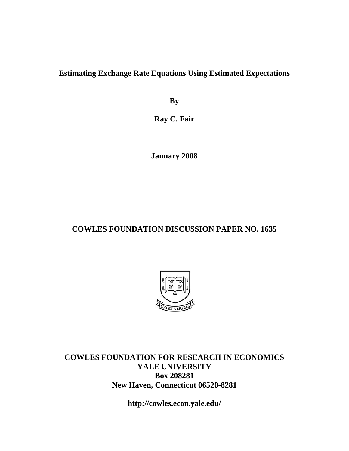**Estimating Exchange Rate Equations Using Estimated Expectations** 

**By** 

**Ray C. Fair** 

**January 2008** 

# **COWLES FOUNDATION DISCUSSION PAPER NO. 1635**



**COWLES FOUNDATION FOR RESEARCH IN ECONOMICS YALE UNIVERSITY Box 208281 New Haven, Connecticut 06520-8281** 

**http://cowles.econ.yale.edu/**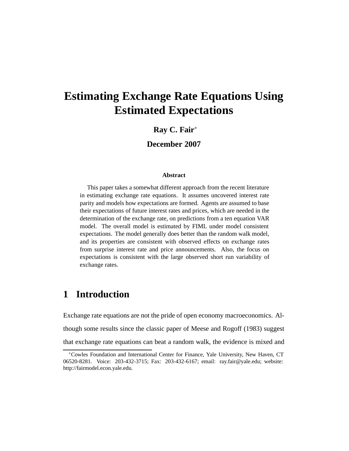# **Estimating Exchange Rate Equations Using Estimated Expectations**

### **Ray C. Fair**<sup>∗</sup>

**December 2007**

#### **Abstract**

This paper takes a somewhat different approach from the recent literature in estimating exchange rate equations. It assumes uncovered interest rate parity and models how expectations are formed. Agents are assumed to base their expectations of future interest rates and prices, which are needed in the determination of the exchange rate, on predictions from a ten equation VAR model. The overall model is estimated by FIML under model consistent expectations. The model generally does better than the random walk model, and its properties are consistent with observed effects on exchange rates from surprise interest rate and price announcements. Also, the focus on expectations is consistent with the large observed short run variability of exchange rates.

# **1 Introduction**

Exchange rate equations are not the pride of open economy macroeconomics. Although some results since the classic paper of Meese and Rogoff (1983) suggest that exchange rate equations can beat a random walk, the evidence is mixed and

<sup>∗</sup>Cowles Foundation and International Center for Finance, Yale University, New Haven, CT 06520-8281. Voice: 203-432-3715; Fax: 203-432-6167; email: ray.fair@yale.edu; website: http://fairmodel.econ.yale.edu.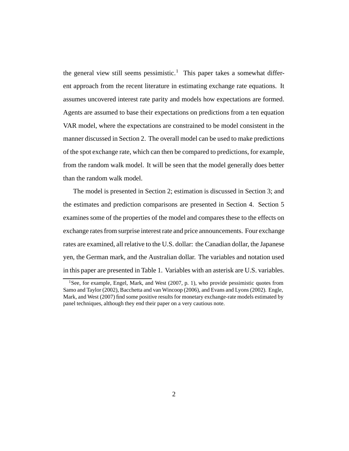the general view still seems pessimistic.<sup>1</sup> This paper takes a somewhat different approach from the recent literature in estimating exchange rate equations. It assumes uncovered interest rate parity and models how expectations are formed. Agents are assumed to base their expectations on predictions from a ten equation VAR model, where the expectations are constrained to be model consistent in the manner discussed in Section 2. The overall model can be used to make predictions of the spot exchange rate, which can then be compared to predictions, for example, from the random walk model. It will be seen that the model generally does better than the random walk model.

The model is presented in Section 2; estimation is discussed in Section 3; and the estimates and prediction comparisons are presented in Section 4. Section 5 examines some of the properties of the model and compares these to the effects on exchange rates from surprise interest rate and price announcements. Four exchange rates are examined, all relative to the U.S. dollar: the Canadian dollar, the Japanese yen, the German mark, and the Australian dollar. The variables and notation used in this paper are presented in Table 1. Variables with an asterisk are U.S. variables.

<sup>&</sup>lt;sup>1</sup>See, for example, Engel, Mark, and West  $(2007, p. 1)$ , who provide pessimistic quotes from Samo and Taylor (2002), Bacchetta and van Wincoop (2006), and Evans and Lyons (2002). Engle, Mark, and West (2007) find some positive results for monetary exchange-rate models estimated by panel techniques, although they end their paper on a very cautious note.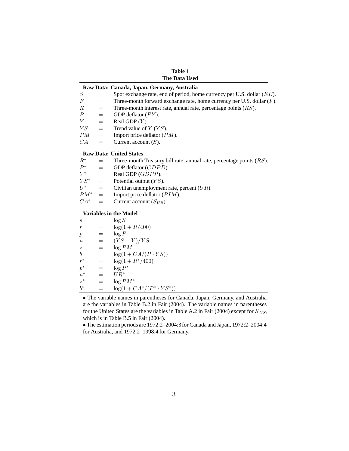**Table 1 The Data Used**

|                  |     | Raw Data: Canada, Japan, Germany, Australia                               |
|------------------|-----|---------------------------------------------------------------------------|
| S                | $=$ | Spot exchange rate, end of period, home currency per U.S. dollar $(EE)$ . |
| F                | $=$ | Three-month forward exchange rate, home currency per U.S. dollar $(F)$ .  |
| $\boldsymbol{R}$ | $=$ | Three-month interest rate, annual rate, percentage points $(RS)$ .        |
| $\boldsymbol{P}$ | $=$ | GDP deflator $(PY)$ .                                                     |
| Y                | $=$ | Real GDP $(Y)$ .                                                          |
| YS               | $=$ | Trend value of $Y$ ( $YS$ ).                                              |
| PM               | $=$ | Import price deflator $(PM)$ .                                            |
| CA               | $=$ | Current account $(S)$ .                                                   |
|                  |     | <b>Raw Data: United States</b>                                            |

### $R^*$  = Three-month Treasury bill rate, annual rate, percentage points (RS).<br>  $P^*$  = GDP deflator (GDPD).  $P^*$  = GDP deflator (GDPD).<br>  $Y^*$  = Real GDP (GDPR).  $Y^*$  = Real GDP (*GDPR*).<br> $YS^*$  = Potential output (*YS*)  $YS^*$  = Potential output  $(YS)$ .<br>  $U^*$  = Civilian unemploymen  $U^*$  = Civilian unemployment rate, percent (UR).<br>  $PM^*$  = Import price deflator (PIM).  $PM^*$  = Import price deflator (*PIM*).<br>  $CA^*$  = Current account (*S<sub>US</sub>*).

Current account  $(S_{US})$ .

#### **Variables in the Model**

| S                  |     | $\log S$                         |
|--------------------|-----|----------------------------------|
| $\boldsymbol{r}$   | $=$ | $log(1 + R/400)$                 |
| $\boldsymbol{p}$   | $=$ | $\log P$                         |
| $\boldsymbol{u}$   | $=$ | $(YS-Y)/YS$                      |
| $\tilde{z}$        | $=$ | $\log PM$                        |
| $\boldsymbol{b}$   | $=$ | $log(1+CA/(P\cdot YS))$          |
| $r^*$              | =   | $\log(1 + R^*/400)$              |
| $p^\ast$           |     | $\log P^*$                       |
| $\boldsymbol{u}^*$ | $=$ | $UR^*$                           |
| $z^*$              | =   | $\log PM^*$                      |
| $h^*$              |     | $log(1 + CA^*/(P^* \cdot YS^*))$ |
|                    |     |                                  |

• The variable names in parentheses for Canada, Japan, Germany, and Australia are the variables in Table B.2 in Fair (2004). The variable names in parentheses for the United States are the variables in Table A.2 in Fair (2004) except for S *US* , which is in Table B.5 in Fair (2004).

• The estimation periods are 1972:2–2004:3 for Canada and Japan, 1972:2–2004:4 for Australia, and 1972:2–1998:4 for Germany.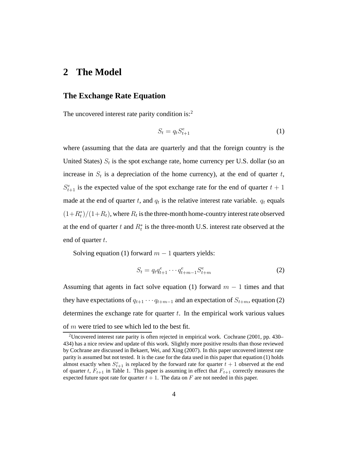### **2 The Model**

### **The Exchange Rate Equation**

The uncovered interest rate parity condition is: $<sup>2</sup>$ </sup>

$$
S_t = q_t S_{t+1}^e \tag{1}
$$

where (assuming that the data are quarterly and that the foreign country is the United States)  $S_t$  is the spot exchange rate, home currency per U.S. dollar (so an increase in  $S_t$  is a depreciation of the home currency), at the end of quarter t,  $S_{t+1}^e$  is the expected value of the spot exchange rate for the end of quarter  $t + 1$ made at the end of quarter t, and  $q_t$  is the relative interest rate variable.  $q_t$  equals  $(1+R_t^*)/(1+R_t)$ , where  $R_t$  is the three-month home-country interest rate observed at the end of quarter t and  $R_t^*$  is the three-month U.S. interest rate observed at the end of quarter  $t$ .

Solving equation (1) forward  $m - 1$  quarters yields:

$$
S_t = q_t q_{t+1}^e \cdots q_{t+m-1}^e S_{t+m}^e
$$
 (2)

Assuming that agents in fact solve equation (1) forward  $m - 1$  times and that they have expectations of  $q_{t+1} \cdots q_{t+m-1}$  and an expectation of  $S_{t+m}$ , equation (2) determines the exchange rate for quarter  $t$ . In the empirical work various values of  $m$  were tried to see which led to the best fit.

<sup>&</sup>lt;sup>2</sup>Uncovered interest rate parity is often rejected in empirical work. Cochrane (2001, pp. 430– 434) has a nice review and update of this work. Slightly more positive results than those reviewed by Cochrane are discussed in Bekaert, Wei, and Xing (2007). In this paper uncovered interest rate parity is assumed but not tested. It is the case for the data used in this paper that equation (1) holds almost exactly when  $S_{t+1}^e$  is replaced by the forward rate for quarter  $t + 1$  observed at the end<br>of quarter  $t$ ,  $F_{t+1}$  in Table 1. This paper is assuming in effect that  $F_{t+1}$  correctly measures the of quarter t,  $F_{t+1}$  in Table 1. This paper is assuming in effect that  $F_{t+1}$  correctly measures the expected future spot rate for quarter  $t + 1$ . The data on F are not needed in this paper.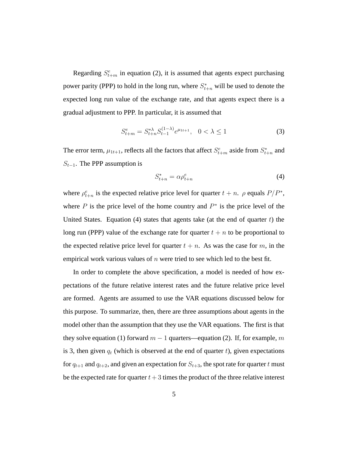Regarding  $S_{t+m}^e$  in equation (2), it is assumed that agents expect purchasing power parity (PPP) to hold in the long run, where  $S_{t+n}^*$  will be used to denote the expected long run value of the exchange rate, and that agents expect there is a gradual adjustment to PPP. In particular, it is assumed that

$$
S_{t+m}^e = S_{t+n}^{*\lambda} S_{t-1}^{(1-\lambda)} e^{\mu_{1t+1}}, \quad 0 < \lambda \le 1 \tag{3}
$$

The error term,  $\mu_{1t+1}$ , reflects all the factors that affect  $S_{t+m}^e$  aside from  $S_{t+n}^*$  and  $S_{t-1}$ . The PPP assumption is

$$
S_{t+n}^* = \alpha \rho_{t+n}^e \tag{4}
$$

where  $\rho_{t+n}^e$  is the expected relative price level for quarter  $t + n$ .  $\rho$  equals  $P/P^*$ , where P is the price level of the home country and  $P^*$  is the price level of the United States. Equation  $(4)$  states that agents take (at the end of quarter t) the long run (PPP) value of the exchange rate for quarter  $t + n$  to be proportional to the expected relative price level for quarter  $t + n$ . As was the case for m, in the empirical work various values of  $n$  were tried to see which led to the best fit.

In order to complete the above specification, a model is needed of how expectations of the future relative interest rates and the future relative price level are formed. Agents are assumed to use the VAR equations discussed below for this purpose. To summarize, then, there are three assumptions about agents in the model other than the assumption that they use the VAR equations. The first is that they solve equation (1) forward  $m-1$  quarters—equation (2). If, for example, m is 3, then given  $q_t$  (which is observed at the end of quarter t), given expectations for  $q_{t+1}$  and  $q_{t+2}$ , and given an expectation for  $S_{t+3}$ , the spot rate for quarter t must be the expected rate for quarter  $t+3$  times the product of the three relative interest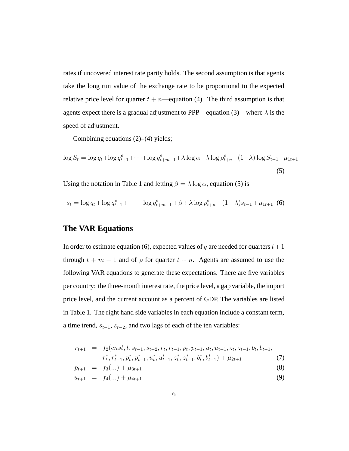rates if uncovered interest rate parity holds. The second assumption is that agents take the long run value of the exchange rate to be proportional to the expected relative price level for quarter  $t + n$ —equation (4). The third assumption is that agents expect there is a gradual adjustment to PPP—equation (3)—where  $\lambda$  is the speed of adjustment.

Combining equations (2)–(4) yields;

$$
\log S_t = \log q_t + \log q_{t+1}^e + \dots + \log q_{t+m-1}^e + \lambda \log \alpha + \lambda \log \rho_{t+n}^e + (1-\lambda) \log S_{t-1} + \mu_{1t+1}
$$
\n(5)

Using the notation in Table 1 and letting  $\beta = \lambda \log \alpha$ , equation (5) is

$$
s_t = \log q_t + \log q_{t+1}^e + \dots + \log q_{t+m-1}^e + \beta + \lambda \log \rho_{t+n}^e + (1 - \lambda)s_{t-1} + \mu_{1t+1} \tag{6}
$$

### **The VAR Equations**

In order to estimate equation (6), expected values of q are needed for quarters  $t + 1$ through  $t + m - 1$  and of  $\rho$  for quarter  $t + n$ . Agents are assumed to use the following VAR equations to generate these expectations. There are five variables per country: the three-month interest rate, the price level, a gap variable, the import price level, and the current account as a percent of GDP. The variables are listed in Table 1. The right hand side variables in each equation include a constant term, a time trend,  $s_{t-1}$ ,  $s_{t-2}$ , and two lags of each of the ten variables:

$$
r_{t+1} = f_2(\text{cnst}, t, s_{t-1}, s_{t-2}, r_t, r_{t-1}, p_t, p_{t-1}, u_t, u_{t-1}, z_t, z_{t-1}, b_t, b_{t-1},
$$
  
\n
$$
r_t^*, r_{t-1}^*, p_t^*, p_{t-1}^*, u_t^*, u_{t-1}^*, z_t^*, z_{t-1}^*, b_t^*, b_{t-1}^*) + \mu_{2t+1}
$$
 (7)

$$
p_{t+1} = f_3(...) + \mu_{3t+1} \tag{8}
$$

$$
u_{t+1} = f_4(...) + \mu_{4t+1} \tag{9}
$$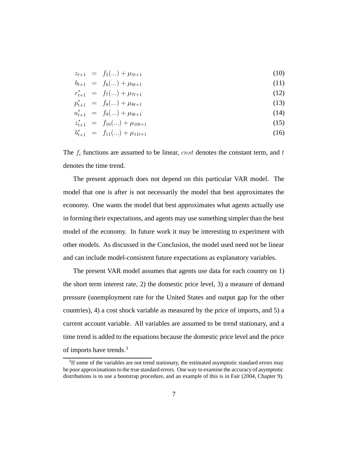$$
z_{t+1} = f_5(...) + \mu_{5t+1} \tag{10}
$$

$$
b_{t+1} = f_6(...) + \mu_{6t+1} \tag{11}
$$

$$
r_{t+1}^* = f_7(\ldots) + \mu_{7t+1} \tag{12}
$$

$$
p_{t+1}^* = f_8(\ldots) + \mu_{8t+1} \tag{13}
$$

$$
u_{t+1}^* = f_9(\ldots) + \mu_{9t+1} \tag{14}
$$

$$
z_{t+1}^* = f_{10}(\ldots) + \mu_{10t+1} \tag{15}
$$

$$
b_{t+1}^* = f_{11}(\ldots) + \mu_{11t+1} \tag{16}
$$

The  $f_i$  functions are assumed to be linear, cnst denotes the constant term, and t denotes the time trend.

The present approach does not depend on this particular VAR model. The model that one is after is not necessarily the model that best approximates the economy. One wants the model that best approximates what agents actually use in forming their expectations, and agents may use something simpler than the best model of the economy. In future work it may be interesting to experiment with other models. As discussed in the Conclusion, the model used need not be linear and can include model-consistent future expectations as explanatory variables.

The present VAR model assumes that agents use data for each country on 1) the short term interest rate, 2) the domestic price level, 3) a measure of demand pressure (unemployment rate for the United States and output gap for the other countries), 4) a cost shock variable as measured by the price of imports, and 5) a current account variable. All variables are assumed to be trend stationary, and a time trend is added to the equations because the domestic price level and the price of imports have trends.<sup>3</sup>

<sup>&</sup>lt;sup>3</sup>If some of the variables are not trend stationary, the estimated asymptotic standard errors may be poor approximations to the true standard errors. One way to examine the accuracy of asymptotic distributions is to use a bootstrap procedure, and an example of this is in Fair (2004, Chapter 9).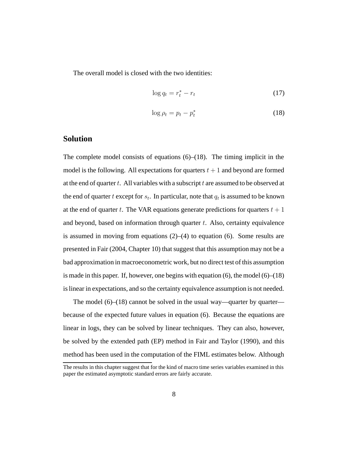The overall model is closed with the two identities:

$$
\log q_t = r_t^* - r_t \tag{17}
$$

$$
\log \rho_t = p_t - p_t^* \tag{18}
$$

### **Solution**

The complete model consists of equations  $(6)$ – $(18)$ . The timing implicit in the model is the following. All expectations for quarters  $t + 1$  and beyond are formed at the end of quarter  $t$ . All variables with a subscript  $t$  are assumed to be observed at the end of quarter t except for  $s_t$ . In particular, note that  $q_t$  is assumed to be known at the end of quarter t. The VAR equations generate predictions for quarters  $t + 1$ and beyond, based on information through quarter  $t$ . Also, certainty equivalence is assumed in moving from equations  $(2)$ – $(4)$  to equation (6). Some results are presented in Fair (2004, Chapter 10) that suggest that this assumption may not be a bad approximation in macroeconometric work, but no direct test of this assumption is made in this paper. If, however, one begins with equation (6), the model (6)–(18) is linear in expectations, and so the certainty equivalence assumption is not needed.

The model  $(6)$ – $(18)$  cannot be solved in the usual way—quarter by quarter because of the expected future values in equation (6). Because the equations are linear in logs, they can be solved by linear techniques. They can also, however, be solved by the extended path (EP) method in Fair and Taylor (1990), and this method has been used in the computation of the FIML estimates below. Although

The results in this chapter suggest that for the kind of macro time series variables examined in this paper the estimated asymptotic standard errors are fairly accurate.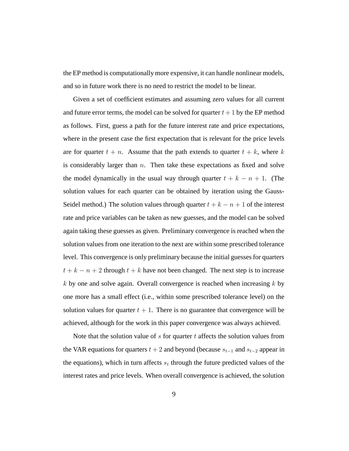the EP method is computationally more expensive, it can handle nonlinear models, and so in future work there is no need to restrict the model to be linear.

Given a set of coefficient estimates and assuming zero values for all current and future error terms, the model can be solved for quarter  $t + 1$  by the EP method as follows. First, guess a path for the future interest rate and price expectations, where in the present case the first expectation that is relevant for the price levels are for quarter  $t + n$ . Assume that the path extends to quarter  $t + k$ , where k is considerably larger than  $n$ . Then take these expectations as fixed and solve the model dynamically in the usual way through quarter  $t + k - n + 1$ . (The solution values for each quarter can be obtained by iteration using the Gauss-Seidel method.) The solution values through quarter  $t + k - n + 1$  of the interest rate and price variables can be taken as new guesses, and the model can be solved again taking these guesses as given. Preliminary convergence is reached when the solution values from one iteration to the next are within some prescribed tolerance level. This convergence is only preliminary because the initial guesses for quarters  $t + k - n + 2$  through  $t + k$  have not been changed. The next step is to increase  $k$  by one and solve again. Overall convergence is reached when increasing  $k$  by one more has a small effect (i.e., within some prescribed tolerance level) on the solution values for quarter  $t + 1$ . There is no guarantee that convergence will be achieved, although for the work in this paper convergence was always achieved.

Note that the solution value of  $s$  for quarter  $t$  affects the solution values from the VAR equations for quarters  $t + 2$  and beyond (because  $s_{t-1}$  and  $s_{t-2}$  appear in the equations), which in turn affects  $s_t$  through the future predicted values of the interest rates and price levels. When overall convergence is achieved, the solution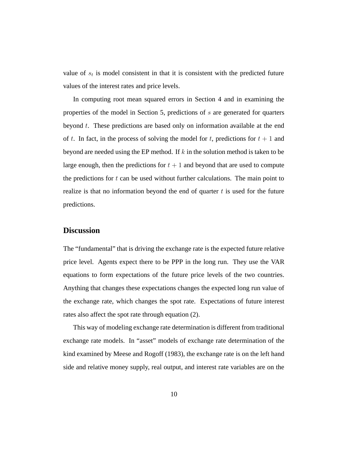value of  $s_t$  is model consistent in that it is consistent with the predicted future values of the interest rates and price levels.

In computing root mean squared errors in Section 4 and in examining the properties of the model in Section 5, predictions of s are generated for quarters beyond t. These predictions are based only on information available at the end of t. In fact, in the process of solving the model for t, predictions for  $t + 1$  and beyond are needed using the EP method. If  $k$  in the solution method is taken to be large enough, then the predictions for  $t + 1$  and beyond that are used to compute the predictions for  $t$  can be used without further calculations. The main point to realize is that no information beyond the end of quarter  $t$  is used for the future predictions.

### **Discussion**

The "fundamental" that is driving the exchange rate is the expected future relative price level. Agents expect there to be PPP in the long run. They use the VAR equations to form expectations of the future price levels of the two countries. Anything that changes these expectations changes the expected long run value of the exchange rate, which changes the spot rate. Expectations of future interest rates also affect the spot rate through equation (2).

This way of modeling exchange rate determination is different from traditional exchange rate models. In "asset" models of exchange rate determination of the kind examined by Meese and Rogoff (1983), the exchange rate is on the left hand side and relative money supply, real output, and interest rate variables are on the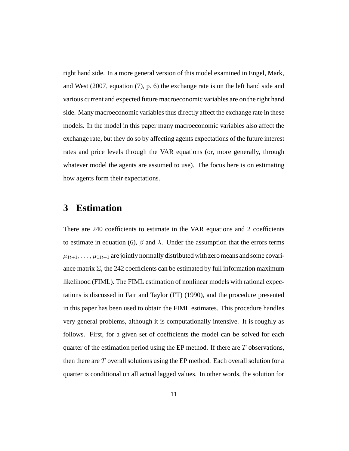right hand side. In a more general version of this model examined in Engel, Mark, and West (2007, equation (7), p. 6) the exchange rate is on the left hand side and various current and expected future macroeconomic variables are on the right hand side. Many macroeconomic variables thus directly affect the exchange rate in these models. In the model in this paper many macroeconomic variables also affect the exchange rate, but they do so by affecting agents expectations of the future interest rates and price levels through the VAR equations (or, more generally, through whatever model the agents are assumed to use). The focus here is on estimating how agents form their expectations.

### **3 Estimation**

There are 240 coefficients to estimate in the VAR equations and 2 coefficients to estimate in equation (6),  $\beta$  and  $\lambda$ . Under the assumption that the errors terms  $\mu_{1t+1},\ldots,\mu_{11t+1}$  are jointly normally distributed with zero means and some covariance matrix  $\Sigma$ , the 242 coefficients can be estimated by full information maximum likelihood (FIML). The FIML estimation of nonlinear models with rational expectations is discussed in Fair and Taylor (FT) (1990), and the procedure presented in this paper has been used to obtain the FIML estimates. This procedure handles very general problems, although it is computationally intensive. It is roughly as follows. First, for a given set of coefficients the model can be solved for each quarter of the estimation period using the EP method. If there are  $T$  observations, then there are  $T$  overall solutions using the EP method. Each overall solution for a quarter is conditional on all actual lagged values. In other words, the solution for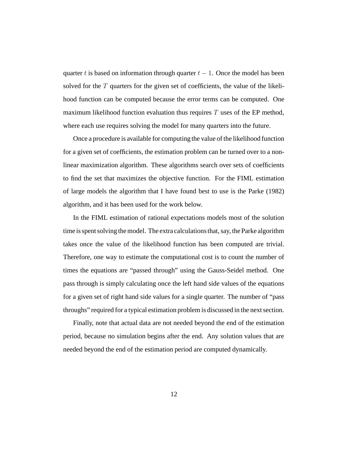quarter t is based on information through quarter  $t - 1$ . Once the model has been solved for the  $T$  quarters for the given set of coefficients, the value of the likelihood function can be computed because the error terms can be computed. One maximum likelihood function evaluation thus requires  $T$  uses of the EP method, where each use requires solving the model for many quarters into the future.

Once a procedure is available for computing the value of the likelihood function for a given set of coefficients, the estimation problem can be turned over to a nonlinear maximization algorithm. These algorithms search over sets of coefficients to find the set that maximizes the objective function. For the FIML estimation of large models the algorithm that I have found best to use is the Parke (1982) algorithm, and it has been used for the work below.

In the FIML estimation of rational expectations models most of the solution time is spent solving the model. The extra calculations that, say, the Parke algorithm takes once the value of the likelihood function has been computed are trivial. Therefore, one way to estimate the computational cost is to count the number of times the equations are "passed through" using the Gauss-Seidel method. One pass through is simply calculating once the left hand side values of the equations for a given set of right hand side values for a single quarter. The number of "pass throughs" required for a typical estimation problem is discussed in the next section.

Finally, note that actual data are not needed beyond the end of the estimation period, because no simulation begins after the end. Any solution values that are needed beyond the end of the estimation period are computed dynamically.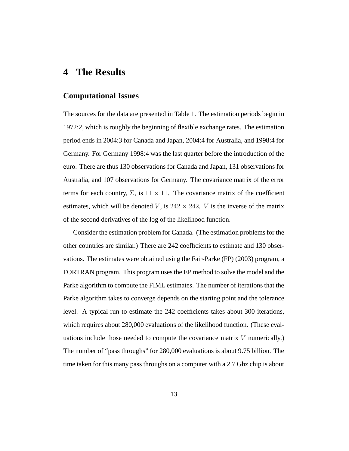## **4 The Results**

### **Computational Issues**

The sources for the data are presented in Table 1. The estimation periods begin in 1972:2, which is roughly the beginning of flexible exchange rates. The estimation period ends in 2004:3 for Canada and Japan, 2004:4 for Australia, and 1998:4 for Germany. For Germany 1998:4 was the last quarter before the introduction of the euro. There are thus 130 observations for Canada and Japan, 131 observations for Australia, and 107 observations for Germany. The covariance matrix of the error terms for each country,  $\Sigma$ , is  $11 \times 11$ . The covariance matrix of the coefficient estimates, which will be denoted V, is  $242 \times 242$ . V is the inverse of the matrix of the second derivatives of the log of the likelihood function.

Consider the estimation problem for Canada. (The estimation problems for the other countries are similar.) There are 242 coefficients to estimate and 130 observations. The estimates were obtained using the Fair-Parke (FP) (2003) program, a FORTRAN program. This program uses the EP method to solve the model and the Parke algorithm to compute the FIML estimates. The number of iterations that the Parke algorithm takes to converge depends on the starting point and the tolerance level. A typical run to estimate the 242 coefficients takes about 300 iterations, which requires about 280,000 evaluations of the likelihood function. (These evaluations include those needed to compute the covariance matrix  $V$  numerically.) The number of "pass throughs" for 280,000 evaluations is about 9.75 billion. The time taken for this many pass throughs on a computer with a 2.7 Ghz chip is about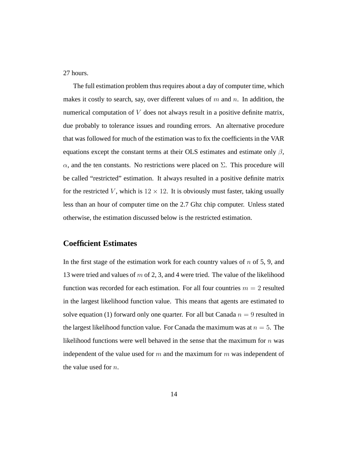27 hours.

The full estimation problem thus requires about a day of computer time, which makes it costly to search, say, over different values of m and n. In addition, the numerical computation of V does not always result in a positive definite matrix, due probably to tolerance issues and rounding errors. An alternative procedure that was followed for much of the estimation was to fix the coefficients in the VAR equations except the constant terms at their OLS estimates and estimate only  $\beta$ ,  $\alpha$ , and the ten constants. No restrictions were placed on  $\Sigma$ . This procedure will be called "restricted" estimation. It always resulted in a positive definite matrix for the restricted V, which is  $12 \times 12$ . It is obviously must faster, taking usually less than an hour of computer time on the 2.7 Ghz chip computer. Unless stated otherwise, the estimation discussed below is the restricted estimation.

### **Coefficient Estimates**

In the first stage of the estimation work for each country values of  $n$  of 5, 9, and 13 were tried and values of  $m$  of 2, 3, and 4 were tried. The value of the likelihood function was recorded for each estimation. For all four countries  $m = 2$  resulted in the largest likelihood function value. This means that agents are estimated to solve equation (1) forward only one quarter. For all but Canada  $n = 9$  resulted in the largest likelihood function value. For Canada the maximum was at  $n = 5$ . The likelihood functions were well behaved in the sense that the maximum for  $n$  was independent of the value used for  $m$  and the maximum for  $m$  was independent of the value used for n.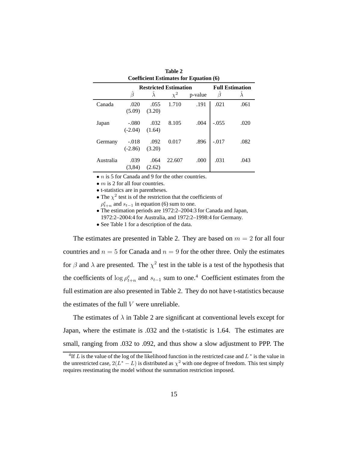| Coefficient estimates for equation (0) |                              |                |          |         |                        |      |  |
|----------------------------------------|------------------------------|----------------|----------|---------|------------------------|------|--|
|                                        | <b>Restricted Estimation</b> |                |          |         | <b>Full Estimation</b> |      |  |
|                                        | $\hat{\beta}$                |                | $\chi^2$ | p-value | $\beta$                |      |  |
| Canada                                 | .020<br>(5.09)               | .055<br>(3.20) | 1.710    | .191    | .021                   | .061 |  |
| Japan                                  | $-.080$<br>$(-2.04)$         | .032<br>(1.64) | 8.105    | .004    | $-.055$                | .020 |  |
| Germany                                | $-.018$<br>$(-2.86)$         | .092<br>(3.20) | 0.017    | .896    | $-.017$                | .082 |  |
| Australia                              | .039<br>(3,84)               | .064<br>(2.62) | 22.607   | .000    | .031                   | .043 |  |

| Table 2                                       |  |
|-----------------------------------------------|--|
| <b>Coefficient Estimates for Equation (6)</b> |  |

 $\bullet$  *n* is 5 for Canada and 9 for the other countries.

•  $m$  is 2 for all four countries.

• t-statistics are in parentheses.

• The  $\chi^2$  test is of the restriction that the coefficients of  $\rho_{t+n}^e$  and  $s_{t-1}$  in equation (6) sum to one.

• The estimation periods are 1972:2–2004:3 for Canada and Japan, 1972:2–2004:4 for Australia, and 1972:2–1998:4 for Germany.

• See Table 1 for a description of the data.

The estimates are presented in Table 2. They are based on  $m = 2$  for all four countries and  $n = 5$  for Canada and  $n = 9$  for the other three. Only the estimates for  $\beta$  and  $\lambda$  are presented. The  $\chi^2$  test in the table is a test of the hypothesis that the coefficients of  $\log \rho_{t+n}^e$  and  $s_{t-1}$  sum to one.<sup>4</sup> Coefficient estimates from the full estimation are also presented in Table 2. They do not have t-statistics because the estimates of the full  $V$  were unreliable.

The estimates of  $\lambda$  in Table 2 are significant at conventional levels except for Japan, where the estimate is .032 and the t-statistic is 1.64. The estimates are small, ranging from .032 to .092, and thus show a slow adjustment to PPP. The

<sup>&</sup>lt;sup>4</sup>If L is the value of the log of the likelihood function in the restricted case and  $L^*$  is the value in the unrestricted case,  $2(L^* - L)$  is distributed as  $\chi^2$  with one degree of freedom. This test simply requires reestimating the model without the summation restriction imposed.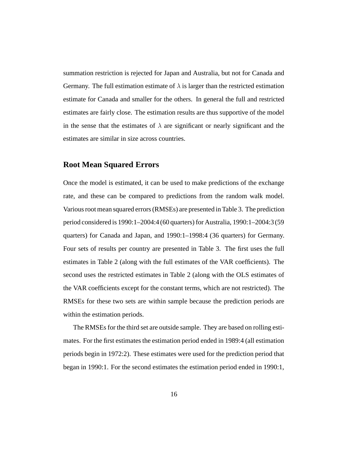summation restriction is rejected for Japan and Australia, but not for Canada and Germany. The full estimation estimate of  $\lambda$  is larger than the restricted estimation estimate for Canada and smaller for the others. In general the full and restricted estimates are fairly close. The estimation results are thus supportive of the model in the sense that the estimates of  $\lambda$  are significant or nearly significant and the estimates are similar in size across countries.

#### **Root Mean Squared Errors**

Once the model is estimated, it can be used to make predictions of the exchange rate, and these can be compared to predictions from the random walk model. Various root mean squared errors (RMSEs) are presented in Table 3. The prediction period considered is 1990:1–2004:4 (60 quarters) for Australia, 1990:1–2004:3 (59 quarters) for Canada and Japan, and 1990:1–1998:4 (36 quarters) for Germany. Four sets of results per country are presented in Table 3. The first uses the full estimates in Table 2 (along with the full estimates of the VAR coefficients). The second uses the restricted estimates in Table 2 (along with the OLS estimates of the VAR coefficients except for the constant terms, which are not restricted). The RMSEs for these two sets are within sample because the prediction periods are within the estimation periods.

The RMSEs for the third set are outside sample. They are based on rolling estimates. For the first estimates the estimation period ended in 1989:4 (all estimation periods begin in 1972:2). These estimates were used for the prediction period that began in 1990:1. For the second estimates the estimation period ended in 1990:1,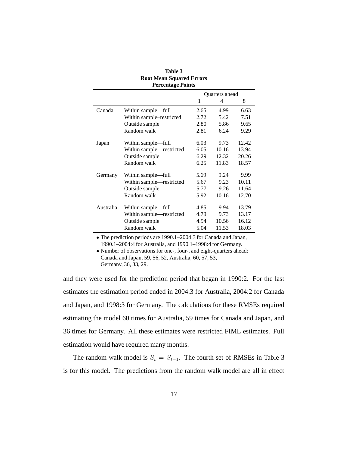|           | Percentage Points        |      |                |       |
|-----------|--------------------------|------|----------------|-------|
|           |                          |      | Quarters ahead |       |
|           |                          | 1    | 4              | 8     |
| Canada    | Within sample-full       | 2.65 | 4.99           | 6.63  |
|           | Within sample–restricted | 2.72 | 5.42           | 7.51  |
|           | Outside sample           | 2.80 | 5.86           | 9.65  |
|           | Random walk              | 2.81 | 6.24           | 9.29  |
| Japan     | Within sample—full       | 6.03 | 9.73           | 12.42 |
|           | Within sample-restricted | 6.05 | 10.16          | 13.94 |
|           | Outside sample           | 6.29 | 12.32          | 20.26 |
|           | Random walk              | 6.25 | 11.83          | 18.57 |
| Germany   | Within sample—full       | 5.69 | 9.24           | 9.99  |
|           | Within sample-restricted | 5.67 | 9.23           | 10.11 |
|           | Outside sample           | 5.77 | 9.26           | 11.64 |
|           | Random walk              | 5.92 | 10.16          | 12.70 |
| Australia | Within sample-full       | 4.85 | 9.94           | 13.79 |
|           | Within sample—restricted | 4.79 | 9.73           | 13.17 |
|           | Outside sample           | 4.94 | 10.56          | 16.12 |
|           | Random walk              | 5.04 | 11.53          | 18.03 |

#### **Table 3 Root Mean Squared Errors Percentage Points**

• The prediction periods are 1990.1–2004:3 for Canada and Japan, 1990.1–2004:4 for Australia, and 1990.1–1998:4 for Germany.

• Number of observations for one-, four-, and eight-quarters ahead: Canada and Japan, 59, 56, 52, Australia, 60, 57, 53, Germany, 36, 33, 29.

and they were used for the prediction period that began in 1990:2. For the last estimates the estimation period ended in 2004:3 for Australia, 2004:2 for Canada and Japan, and 1998:3 for Germany. The calculations for these RMSEs required estimating the model 60 times for Australia, 59 times for Canada and Japan, and 36 times for Germany. All these estimates were restricted FIML estimates. Full estimation would have required many months.

The random walk model is  $S_t = S_{t-1}$ . The fourth set of RMSEs in Table 3 is for this model. The predictions from the random walk model are all in effect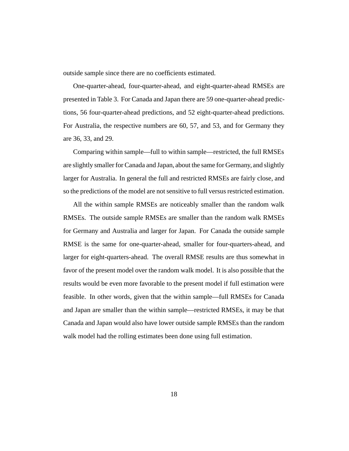outside sample since there are no coefficients estimated.

One-quarter-ahead, four-quarter-ahead, and eight-quarter-ahead RMSEs are presented in Table 3. For Canada and Japan there are 59 one-quarter-ahead predictions, 56 four-quarter-ahead predictions, and 52 eight-quarter-ahead predictions. For Australia, the respective numbers are 60, 57, and 53, and for Germany they are 36, 33, and 29.

Comparing within sample—full to within sample—restricted, the full RMSEs are slightly smaller for Canada and Japan, about the same for Germany, and slightly larger for Australia. In general the full and restricted RMSEs are fairly close, and so the predictions of the model are not sensitive to full versus restricted estimation.

All the within sample RMSEs are noticeably smaller than the random walk RMSEs. The outside sample RMSEs are smaller than the random walk RMSEs for Germany and Australia and larger for Japan. For Canada the outside sample RMSE is the same for one-quarter-ahead, smaller for four-quarters-ahead, and larger for eight-quarters-ahead. The overall RMSE results are thus somewhat in favor of the present model over the random walk model. It is also possible that the results would be even more favorable to the present model if full estimation were feasible. In other words, given that the within sample—full RMSEs for Canada and Japan are smaller than the within sample—restricted RMSEs, it may be that Canada and Japan would also have lower outside sample RMSEs than the random walk model had the rolling estimates been done using full estimation.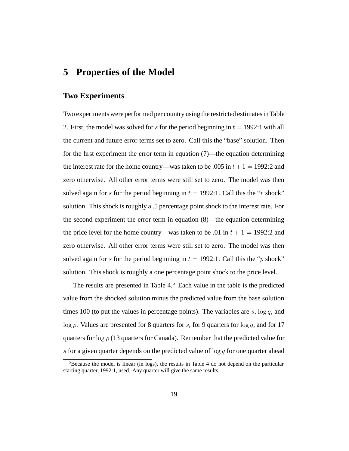## **5 Properties of the Model**

### **Two Experiments**

Two experiments were performed per country using the restricted estimates in Table 2. First, the model was solved for s for the period beginning in  $t = 1992:1$  with all the current and future error terms set to zero. Call this the "base" solution. Then for the first experiment the error term in equation (7)—the equation determining the interest rate for the home country—was taken to be .005 in  $t + 1 = 1992:2$  and zero otherwise. All other error terms were still set to zero. The model was then solved again for s for the period beginning in  $t = 1992$ :1. Call this the "r shock" solution. This shock is roughly a .5 percentage point shock to the interest rate. For the second experiment the error term in equation (8)—the equation determining the price level for the home country—was taken to be .01 in  $t + 1 = 1992:2$  and zero otherwise. All other error terms were still set to zero. The model was then solved again for s for the period beginning in  $t = 1992$ :1. Call this the "p shock" solution. This shock is roughly a one percentage point shock to the price level.

The results are presented in Table  $4<sup>5</sup>$  Each value in the table is the predicted value from the shocked solution minus the predicted value from the base solution times 100 (to put the values in percentage points). The variables are  $s$ ,  $\log q$ , and log  $\rho$ . Values are presented for 8 quarters for s, for 9 quarters for log q, and for 17 quarters for log  $\rho$  (13 quarters for Canada). Remember that the predicted value for s for a given quarter depends on the predicted value of  $\log q$  for one quarter ahead

 $5B$  Because the model is linear (in logs), the results in Table 4 do not depend on the particular starting quarter, 1992:1, used. Any quarter will give the same results.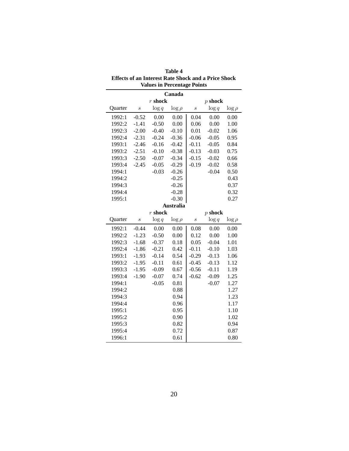| Canada  |                  |           |                  |                  |           |             |
|---------|------------------|-----------|------------------|------------------|-----------|-------------|
|         |                  | $r$ shock |                  |                  | $p$ shock |             |
| Quarter | $\boldsymbol{s}$ | $\log q$  | $\log \rho$      | $\boldsymbol{s}$ | $\log q$  | $\log \rho$ |
| 1992:1  | $-0.52$          | 0.00      | 0.00             | 0.04             | 0.00      | 0.00        |
| 1992:2  | $-1.41$          | $-0.50$   | 0.00             | 0.06             | 0.00      | 1.00        |
| 1992:3  | $-2.00$          | $-0.40$   | $-0.10$          | 0.01             | $-0.02$   | 1.06        |
| 1992:4  | $-2.31$          | $-0.24$   | $-0.36$          | $-0.06$          | $-0.05$   | 0.95        |
| 1993:1  | $-2.46$          | $-0.16$   | $-0.42$          | $-0.11$          | $-0.05$   | 0.84        |
| 1993:2  | $-2.51$          | $-0.10$   | $-0.38$          | $-0.13$          | $-0.03$   | 0.75        |
| 1993:3  | $-2.50$          | $-0.07$   | $-0.34$          | $-0.15$          | $-0.02$   | 0.66        |
| 1993:4  | $-2.45$          | $-0.05$   | $-0.29$          | $-0.19$          | $-0.02$   | 0.58        |
| 1994:1  |                  | $-0.03$   | $-0.26$          |                  | $-0.04$   | 0.50        |
| 1994:2  |                  |           | $-0.25$          |                  |           | 0.43        |
| 1994:3  |                  |           | $-0.26$          |                  |           | 0.37        |
| 1994:4  |                  |           | $-0.28$          |                  |           | 0.32        |
| 1995:1  |                  |           | $-0.30$          |                  |           | 0.27        |
|         |                  |           | <b>Australia</b> |                  |           |             |
|         |                  | $r$ shock |                  |                  | $p$ shock |             |
| Quarter | $\boldsymbol{s}$ | $\log q$  | $\log \rho$      | $\boldsymbol{s}$ | $\log q$  | $\log \rho$ |
| 1992:1  | $-0.44$          | 0.00      | 0.00             | 0.08             | 0.00      | 0.00        |
| 1992:2  | $-1.23$          | $-0.50$   | 0.00             | 0.12             | 0.00      | 1.00        |
| 1992:3  | $-1.68$          | $-0.37$   | 0.18             | 0.05             | $-0.04$   | 1.01        |
| 1992:4  | $-1.86$          | $-0.21$   | 0.42             | $-0.11$          | $-0.10$   | 1.03        |
| 1993:1  | $-1.93$          | $-0.14$   | 0.54             | $-0.29$          | $-0.13$   | 1.06        |
| 1993:2  | $-1.95$          | $-0.11$   | 0.61             | $-0.45$          | $-0.13$   | 1.12        |
| 1993:3  | $-1.95$          | $-0.09$   | 0.67             | $-0.56$          | $-0.11$   | 1.19        |
| 1993:4  | $-1.90$          | $-0.07$   | 0.74             | $-0.62$          | $-0.09$   | 1.25        |
| 1994:1  |                  | $-0.05$   | 0.81             |                  | $-0.07$   | 1.27        |
| 1994:2  |                  |           | 0.88             |                  |           | 1.27        |
| 1994:3  |                  |           | 0.94             |                  |           | 1.23        |
| 1994:4  |                  |           | 0.96             |                  |           | 1.17        |
| 1995:1  |                  |           | 0.95             |                  |           | 1.10        |
| 1995:2  |                  |           | 0.90             |                  |           | 1.02        |
| 1995:3  |                  |           | 0.82             |                  |           | 0.94        |
| 1995:4  |                  |           | 0.72             |                  |           | 0.87        |
| 1996:1  |                  |           | 0.61             |                  |           | 0.80        |

**Table 4 Effects of an Interest Rate Shock and a Price Shock Values in Percentage Points**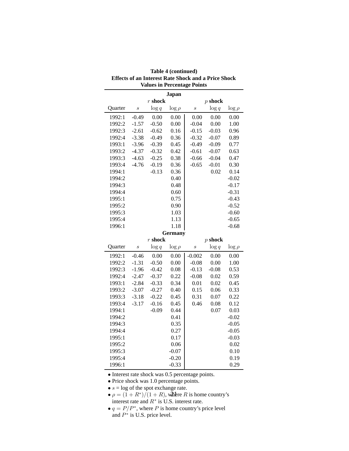|                  |                  |           | <b>Japan</b>       |                  |           |              |
|------------------|------------------|-----------|--------------------|------------------|-----------|--------------|
|                  |                  | $r$ shock |                    |                  | $p$ shock |              |
| Quarter          | $\boldsymbol{s}$ | $\log q$  | $\log \rho$        | $\boldsymbol{s}$ | $\log q$  | $\log \rho$  |
| 1992:1           | $-0.49$          | 0.00      | 0.00               | 0.00             | 0.00      | 0.00         |
| 1992:2           | $-1.57$          | $-0.50$   | 0.00               | $-0.04$          | 0.00      | 1.00         |
| 1992:3           | $-2.61$          | $-0.62$   | 0.16               | $-0.15$          | $-0.03$   | 0.96         |
| 1992:4           | $-3.38$          | $-0.49$   | 0.36               | $-0.32$          | $-0.07$   | 0.89         |
| 1993:1           | $-3.96$          | $-0.39$   | 0.45               | $-0.49$          | $-0.09$   | 0.77         |
| 1993:2           | $-4.37$          | $-0.32$   | 0.42               | $-0.61$          | $-0.07$   | 0.63         |
| 1993:3           | $-4.63$          | $-0.25$   | 0.38               | $-0.66$          | $-0.04$   | 0.47         |
| 1993:4           | $-4.76$          | $-0.19$   | 0.36               | $-0.65$          | $-0.01$   | 0.30         |
| 1994:1           |                  | $-0.13$   | 0.36               |                  | 0.02      | 0.14         |
| 1994:2           |                  |           | 0.40               |                  |           | $-0.02$      |
| 1994:3           |                  |           | 0.48               |                  |           | $-0.17$      |
| 1994:4           |                  |           | 0.60               |                  |           | $-0.31$      |
| 1995:1           |                  |           | 0.75               |                  |           | $-0.43$      |
| 1995:2           |                  |           | 0.90               |                  |           | $-0.52$      |
| 1995:3           |                  |           | 1.03               |                  |           | $-0.60$      |
| 1995:4           |                  |           | 1.13               |                  |           | $-0.65$      |
| 1996:1           |                  |           | 1.18               |                  |           | $-0.68$      |
|                  |                  |           | <b>Germany</b>     |                  |           |              |
|                  |                  | $r$ shock |                    |                  | $p$ shock |              |
| Quarter          | $\boldsymbol{s}$ | $\log q$  | $\log \rho$        | $\boldsymbol{s}$ | $\log q$  | $\log \rho$  |
| 1992:1           |                  |           |                    |                  |           |              |
|                  | $-0.46$          | 0.00      | 0.00               | $-0.002$         | 0.00      | 0.00         |
| 1992:2           | $-1.31$          | $-0.50$   | 0.00               | $-0.08$          | 0.00      | 1.00         |
| 1992:3           | $-1.96$          | $-0.42$   | 0.08               | $-0.13$          | $-0.08$   | 0.53         |
| 1992:4           | $-2.47$          | $-0.37$   | 0.22               | $-0.08$          | 0.02      | 0.59         |
| 1993:1           | $-2.84$          | $-0.33$   | 0.34               | 0.01             | 0.02      | 0.45         |
| 1993:2           | $-3.07$          | $-0.27$   | 0.40               | 0.15             | 0.06      | 0.33         |
| 1993:3           | $-3.18$          | $-0.22$   | 0.45               | 0.31             | 0.07      | 0.22         |
| 1993:4           | $-3.17$          | $-0.16$   | 0.45               | 0.46             | 0.08      | 0.12         |
| 1994:1           |                  | $-0.09$   | 0.44               |                  | 0.07      | 0.03         |
| 1994:2           |                  |           | 0.41               |                  |           | $-0.02$      |
| 1994:3           |                  |           | 0.35               |                  |           | $-0.05$      |
| 1994:4           |                  |           | 0.27               |                  |           | $-0.05$      |
| 1995:1           |                  |           | 0.17               |                  |           | $-0.03$      |
| 1995:2           |                  |           | 0.06               |                  |           | 0.02         |
| 1995:3           |                  |           | $-0.07$            |                  |           | 0.10         |
| 1995:4<br>1996:1 |                  |           | $-0.20$<br>$-0.33$ |                  |           | 0.19<br>0.29 |

#### **Table 4 (continued) Effects of an Interest Rate Shock and a Price Shock Values in Percentage Points**

• Interest rate shock was 0.5 percentage points.

• Price shock was 1.0 percentage points.

•  $s = \log$  of the spot exchange rate.

- $\rho = (1 + R^*)/(1 + R)$ , where R is home country's<br>interest rate and  $R^*$  is U.S. interest rate interest rate and  $R^*$  is U.S. interest rate.
- $q = P/P^*$ , where P is home country's price level and  $P^*$  is U.S. price level.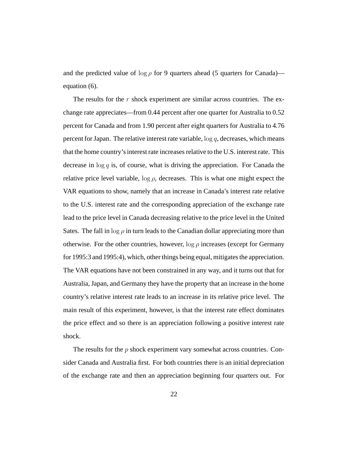and the predicted value of  $\log \rho$  for 9 quarters ahead (5 quarters for Canada) equation (6).

The results for the  $r$  shock experiment are similar across countries. The exchange rate appreciates—from 0.44 percent after one quarter for Australia to 0.52 percent for Canada and from 1.90 percent after eight quarters for Australia to 4.76 percent for Japan. The relative interest rate variable,  $\log q$ , decreases, which means that the home country's interest rate increases relative to the U.S. interest rate. This decrease in  $\log q$  is, of course, what is driving the appreciation. For Canada the relative price level variable,  $\log \rho$ , decreases. This is what one might expect the VAR equations to show, namely that an increase in Canada's interest rate relative to the U.S. interest rate and the corresponding appreciation of the exchange rate lead to the price level in Canada decreasing relative to the price level in the United Sates. The fall in  $\log \rho$  in turn leads to the Canadian dollar appreciating more than otherwise. For the other countries, however,  $\log \rho$  increases (except for Germany for 1995:3 and 1995:4), which, other things being equal, mitigates the appreciation. The VAR equations have not been constrained in any way, and it turns out that for Australia, Japan, and Germany they have the property that an increase in the home country's relative interest rate leads to an increase in its relative price level. The main result of this experiment, however, is that the interest rate effect dominates the price effect and so there is an appreciation following a positive interest rate shock.

The results for the  $p$  shock experiment vary somewhat across countries. Consider Canada and Australia first. For both countries there is an initial depreciation of the exchange rate and then an appreciation beginning four quarters out. For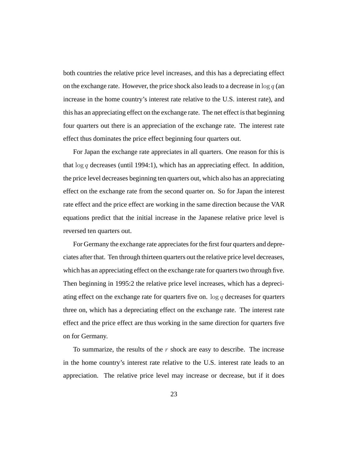both countries the relative price level increases, and this has a depreciating effect on the exchange rate. However, the price shock also leads to a decrease in  $\log q$  (an increase in the home country's interest rate relative to the U.S. interest rate), and this has an appreciating effect on the exchange rate. The net effect is that beginning four quarters out there is an appreciation of the exchange rate. The interest rate effect thus dominates the price effect beginning four quarters out.

For Japan the exchange rate appreciates in all quarters. One reason for this is that  $\log q$  decreases (until 1994:1), which has an appreciating effect. In addition, the price level decreases beginning ten quarters out, which also has an appreciating effect on the exchange rate from the second quarter on. So for Japan the interest rate effect and the price effect are working in the same direction because the VAR equations predict that the initial increase in the Japanese relative price level is reversed ten quarters out.

For Germany the exchange rate appreciates for the first four quarters and depreciates after that. Ten through thirteen quarters out the relative price level decreases, which has an appreciating effect on the exchange rate for quarters two through five. Then beginning in 1995:2 the relative price level increases, which has a depreciating effect on the exchange rate for quarters five on.  $\log q$  decreases for quarters three on, which has a depreciating effect on the exchange rate. The interest rate effect and the price effect are thus working in the same direction for quarters five on for Germany.

To summarize, the results of the  $r$  shock are easy to describe. The increase in the home country's interest rate relative to the U.S. interest rate leads to an appreciation. The relative price level may increase or decrease, but if it does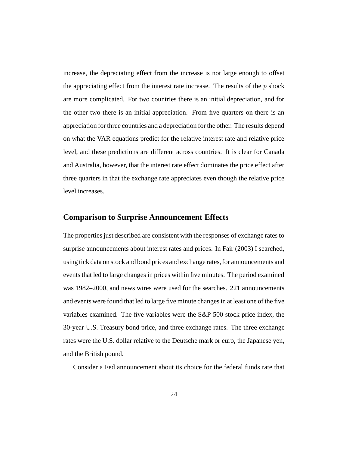increase, the depreciating effect from the increase is not large enough to offset the appreciating effect from the interest rate increase. The results of the  $p$  shock are more complicated. For two countries there is an initial depreciation, and for the other two there is an initial appreciation. From five quarters on there is an appreciation for three countries and a depreciation for the other. The results depend on what the VAR equations predict for the relative interest rate and relative price level, and these predictions are different across countries. It is clear for Canada and Australia, however, that the interest rate effect dominates the price effect after three quarters in that the exchange rate appreciates even though the relative price level increases.

### **Comparison to Surprise Announcement Effects**

The properties just described are consistent with the responses of exchange rates to surprise announcements about interest rates and prices. In Fair (2003) I searched, using tick data on stock and bond prices and exchange rates, for announcements and events that led to large changes in prices within five minutes. The period examined was 1982–2000, and news wires were used for the searches. 221 announcements and events were found that led to large five minute changes in at least one of the five variables examined. The five variables were the S&P 500 stock price index, the 30-year U.S. Treasury bond price, and three exchange rates. The three exchange rates were the U.S. dollar relative to the Deutsche mark or euro, the Japanese yen, and the British pound.

Consider a Fed announcement about its choice for the federal funds rate that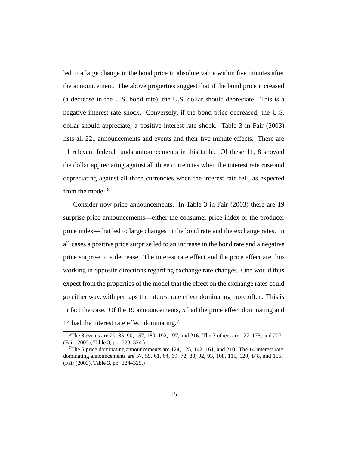led to a large change in the bond price in absolute value within five minutes after the announcement. The above properties suggest that if the bond price increased (a decrease in the U.S. bond rate), the U.S. dollar should depreciate. This is a negative interest rate shock. Conversely, if the bond price decreased, the U.S. dollar should appreciate, a positive interest rate shock. Table 3 in Fair (2003) lists all 221 announcements and events and their five minute effects. There are 11 relevant federal funds announcements in this table. Of these 11, 8 showed the dollar appreciating against all three currencies when the interest rate rose and depreciating against all three currencies when the interest rate fell, as expected from the model.<sup>6</sup>

Consider now price announcements. In Table 3 in Fair (2003) there are 19 surprise price announcements—either the consumer price index or the producer price index—that led to large changes in the bond rate and the exchange rates. In all cases a positive price surprise led to an increase in the bond rate and a negative price surprise to a decrease. The interest rate effect and the price effect are thus working in opposite directions regarding exchange rate changes. One would thus expect from the properties of the model that the effect on the exchange rates could go either way, with perhaps the interest rate effect dominating more often. This is in fact the case. Of the 19 announcements, 5 had the price effect dominating and 14 had the interest rate effect dominating.<sup>7</sup>

<sup>6</sup>The 8 events are 29, 85, 90, 157, 180, 192, 197, and 216. The 3 others are 127, 175, and 207. (Fair (2003), Table 3, pp. 323–324.)

<sup>&</sup>lt;sup>7</sup>The 5 price dominating announcements are  $124$ ,  $125$ ,  $142$ ,  $161$ , and  $210$ . The 14 interest rate dominating announcements are 57, 59, 61, 64, 69, 72, 83, 92, 93, 108, 115, 120, 148, and 155. (Fair (2003), Table 3, pp. 324–325.)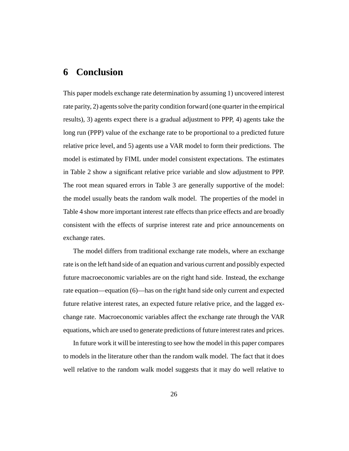# **6 Conclusion**

This paper models exchange rate determination by assuming 1) uncovered interest rate parity, 2) agents solve the parity condition forward (one quarter in the empirical results), 3) agents expect there is a gradual adjustment to PPP, 4) agents take the long run (PPP) value of the exchange rate to be proportional to a predicted future relative price level, and 5) agents use a VAR model to form their predictions. The model is estimated by FIML under model consistent expectations. The estimates in Table 2 show a significant relative price variable and slow adjustment to PPP. The root mean squared errors in Table 3 are generally supportive of the model: the model usually beats the random walk model. The properties of the model in Table 4 show more important interest rate effects than price effects and are broadly consistent with the effects of surprise interest rate and price announcements on exchange rates.

The model differs from traditional exchange rate models, where an exchange rate is on the left hand side of an equation and various current and possibly expected future macroeconomic variables are on the right hand side. Instead, the exchange rate equation—equation (6)—has on the right hand side only current and expected future relative interest rates, an expected future relative price, and the lagged exchange rate. Macroeconomic variables affect the exchange rate through the VAR equations, which are used to generate predictions of future interest rates and prices.

In future work it will be interesting to see how the model in this paper compares to models in the literature other than the random walk model. The fact that it does well relative to the random walk model suggests that it may do well relative to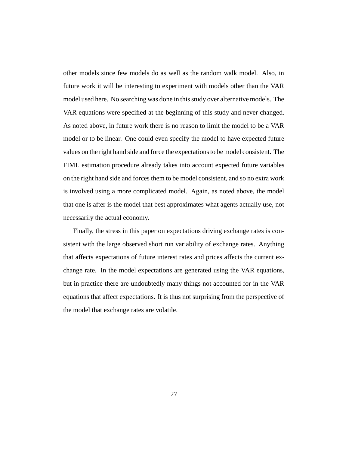other models since few models do as well as the random walk model. Also, in future work it will be interesting to experiment with models other than the VAR model used here. No searching was done in this study over alternative models. The VAR equations were specified at the beginning of this study and never changed. As noted above, in future work there is no reason to limit the model to be a VAR model or to be linear. One could even specify the model to have expected future values on the right hand side and force the expectations to be model consistent. The FIML estimation procedure already takes into account expected future variables on the right hand side and forces them to be model consistent, and so no extra work is involved using a more complicated model. Again, as noted above, the model that one is after is the model that best approximates what agents actually use, not necessarily the actual economy.

Finally, the stress in this paper on expectations driving exchange rates is consistent with the large observed short run variability of exchange rates. Anything that affects expectations of future interest rates and prices affects the current exchange rate. In the model expectations are generated using the VAR equations, but in practice there are undoubtedly many things not accounted for in the VAR equations that affect expectations. It is thus not surprising from the perspective of the model that exchange rates are volatile.